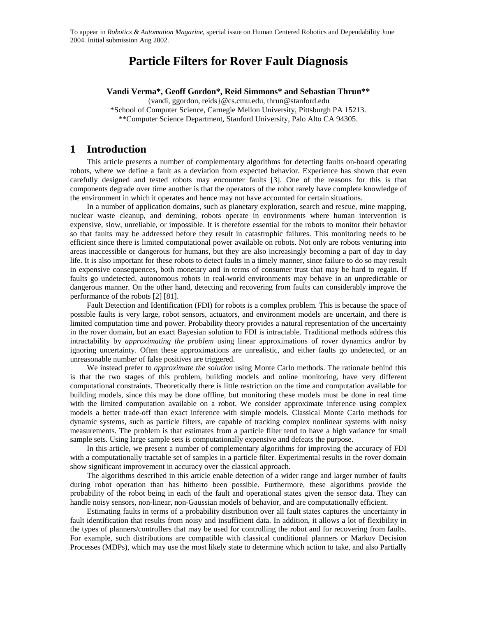# **Particle Filters for Rover Fault Diagnosis**

#### **Vandi Verma\*, Geoff Gordon\*, Reid Simmons\* and Sebastian Thrun\*\***

{vandi, ggordon, reids}@cs.cmu.edu, thrun@stanford.edu \*School of Computer Science, Carnegie Mellon University, Pittsburgh PA 15213. \*\*Computer Science Department, Stanford University, Palo Alto CA 94305.

# **1 Introduction**

This article presents a number of complementary algorithms for detecting faults on-board operating robots, where we define a fault as a deviation from expected behavior. Experience has shown that even carefully designed and tested robots may encounter faults [3]. One of the reasons for this is that components degrade over time another is that the operators of the robot rarely have complete knowledge of the environment in which it operates and hence may not have accounted for certain situations.

In a number of application domains, such as planetary exploration, search and rescue, mine mapping, nuclear waste cleanup, and demining, robots operate in environments where human intervention is expensive, slow, unreliable, or impossible. It is therefore essential for the robots to monitor their behavior so that faults may be addressed before they result in catastrophic failures. This monitoring needs to be efficient since there is limited computational power available on robots. Not only are robots venturing into areas inaccessible or dangerous for humans, but they are also increasingly becoming a part of day to day life. It is also important for these robots to detect faults in a timely manner, since failure to do so may result in expensive consequences, both monetary and in terms of consumer trust that may be hard to regain. If faults go undetected, autonomous robots in real-world environments may behave in an unpredictable or dangerous manner. On the other hand, detecting and recovering from faults can considerably improve the performance of the robots [2] [81].

Fault Detection and Identification (FDI) for robots is a complex problem. This is because the space of possible faults is very large, robot sensors, actuators, and environment models are uncertain, and there is limited computation time and power. Probability theory provides a natural representation of the uncertainty in the rover domain, but an exact Bayesian solution to FDI is intractable. Traditional methods address this intractability by *approximating the problem* using linear approximations of rover dynamics and/or by ignoring uncertainty. Often these approximations are unrealistic, and either faults go undetected, or an unreasonable number of false positives are triggered.

We instead prefer to *approximate the solution* using Monte Carlo methods. The rationale behind this is that the two stages of this problem, building models and online monitoring, have very different computational constraints. Theoretically there is little restriction on the time and computation available for building models, since this may be done offline, but monitoring these models must be done in real time with the limited computation available on a robot. We consider approximate inference using complex models a better trade-off than exact inference with simple models. Classical Monte Carlo methods for dynamic systems, such as particle filters, are capable of tracking complex nonlinear systems with noisy measurements. The problem is that estimates from a particle filter tend to have a high variance for small sample sets. Using large sample sets is computationally expensive and defeats the purpose.

In this article, we present a number of complementary algorithms for improving the accuracy of FDI with a computationally tractable set of samples in a particle filter. Experimental results in the rover domain show significant improvement in accuracy over the classical approach.

The algorithms described in this article enable detection of a wider range and larger number of faults during robot operation than has hitherto been possible. Furthermore, these algorithms provide the probability of the robot being in each of the fault and operational states given the sensor data. They can handle noisy sensors, non-linear, non-Gaussian models of behavior, and are computationally efficient.

Estimating faults in terms of a probability distribution over all fault states captures the uncertainty in fault identification that results from noisy and insufficient data. In addition, it allows a lot of flexibility in the types of planners/controllers that may be used for controlling the robot and for recovering from faults. For example, such distributions are compatible with classical conditional planners or Markov Decision Processes (MDPs), which may use the most likely state to determine which action to take, and also Partially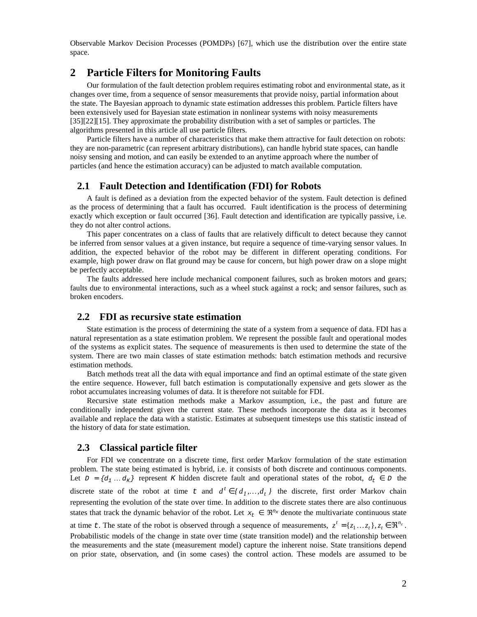Observable Markov Decision Processes (POMDPs) [67], which use the distribution over the entire state space.

# **2 Particle Filters for Monitoring Faults**

Our formulation of the fault detection problem requires estimating robot and environmental state, as it changes over time, from a sequence of sensor measurements that provide noisy, partial information about the state. The Bayesian approach to dynamic state estimation addresses this problem. Particle filters have been extensively used for Bayesian state estimation in nonlinear systems with noisy measurements [35][22][15]. They approximate the probability distribution with a set of samples or particles. The algorithms presented in this article all use particle filters.

Particle filters have a number of characteristics that make them attractive for fault detection on robots: they are non-parametric (can represent arbitrary distributions), can handle hybrid state spaces, can handle noisy sensing and motion, and can easily be extended to an anytime approach where the number of particles (and hence the estimation accuracy) can be adjusted to match available computation.

# **2.1 Fault Detection and Identification (FDI) for Robots**

A fault is defined as a deviation from the expected behavior of the system. Fault detection is defined as the process of determining that a fault has occurred. Fault identification is the process of determining exactly which exception or fault occurred [36]. Fault detection and identification are typically passive, i.e. they do not alter control actions.

This paper concentrates on a class of faults that are relatively difficult to detect because they cannot be inferred from sensor values at a given instance, but require a sequence of time-varying sensor values. In addition, the expected behavior of the robot may be different in different operating conditions. For example, high power draw on flat ground may be cause for concern, but high power draw on a slope might be perfectly acceptable.

The faults addressed here include mechanical component failures, such as broken motors and gears; faults due to environmental interactions, such as a wheel stuck against a rock; and sensor failures, such as broken encoders.

# **2.2 FDI as recursive state estimation**

State estimation is the process of determining the state of a system from a sequence of data. FDI has a natural representation as a state estimation problem. We represent the possible fault and operational modes of the systems as explicit states. The sequence of measurements is then used to determine the state of the system. There are two main classes of state estimation methods: batch estimation methods and recursive estimation methods.

Batch methods treat all the data with equal importance and find an optimal estimate of the state given the entire sequence. However, full batch estimation is computationally expensive and gets slower as the robot accumulates increasing volumes of data. It is therefore not suitable for FDI.

Recursive state estimation methods make a Markov assumption, i.e., the past and future are conditionally independent given the current state. These methods incorporate the data as it becomes available and replace the data with a statistic. Estimates at subsequent timesteps use this statistic instead of the history of data for state estimation.

### **2.3 Classical particle filter**

For FDI we concentrate on a discrete time, first order Markov formulation of the state estimation problem. The state being estimated is hybrid, i.e. it consists of both discrete and continuous components. Let  $D = \{d_1 ... d_K\}$  represent K hidden discrete fault and operational states of the robot,  $d_t \in D$  the discrete state of the robot at time t and  $d^t \in \{d_1, ..., d_t\}$  the discrete, first order Markov chain representing the evolution of the state over time. In addition to the discrete states there are also continuous states that track the dynamic behavior of the robot. Let  $x_t \in \mathbb{R}^{n_x}$  denote the multivariate continuous state at time t. The state of the robot is observed through a sequence of measurements,  $z^t = \{z_1 \dots z_t\}$ ,  $z_t \in \Re^{n_z}$ . Probabilistic models of the change in state over time (state transition model) and the relationship between the measurements and the state (measurement model) capture the inherent noise. State transitions depend on prior state, observation, and (in some cases) the control action. These models are assumed to be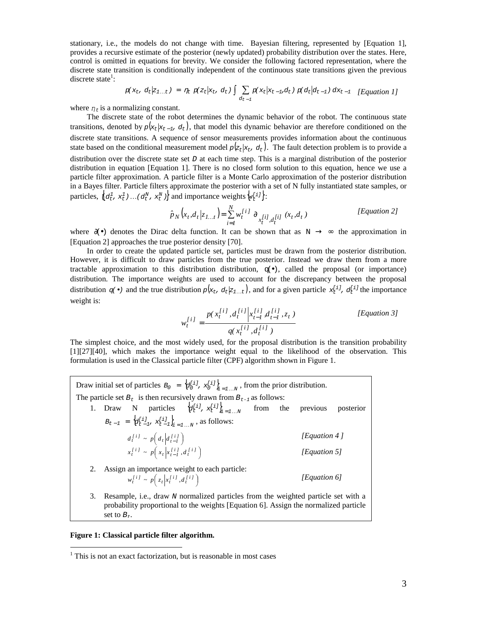stationary, i.e., the models do not change with time. Bayesian filtering, represented by [Equation 1], provides a recursive estimate of the posterior (newly updated) probability distribution over the states. Here, control is omitted in equations for brevity. We consider the following factored representation, where the discrete state transition is conditionally independent of the continuous state transitions given the previous discrete state<sup>1</sup>:

$$
p(x_t, d_t | z_{1...t}) = \eta_t p(z_t | x_t, d_t) \int \sum_{d_{t-1}} p(x_t | x_{t-1} d_t) p(d_t | d_{t-1}) dx_{t-1} [Equation 1]
$$

where  $\eta_t$  is a normalizing constant.

The discrete state of the robot determines the dynamic behavior of the robot. The continuous state transitions, denoted by  $p(x_t | x_{t-1}, d_t)$ , that model this dynamic behavior are therefore conditioned on the discrete state transitions. A sequence of sensor measurements provides information about the continuous state based on the conditional measurement model  $p(z_t|x_t, d_t)$ . The fault detection problem is to provide a distribution over the discrete state set  $D$  at each time step. This is a marginal distribution of the posterior distribution in equation [Equation 1]. There is no closed form solution to this equation, hence we use a particle filter approximation. A particle filter is a Monte Carlo approximation of the posterior distribution in a Bayes filter. Particle filters approximate the posterior with a set of N fully instantiated state samples, or particles,  $\left\{ d_t^1, x_t^1, \ldots, d_t^N, x_t^N \right\}$  and importance weights  $\left\{ w_t^{i_1} \right\}$ :

$$
\hat{p}_N(x_t, d_t | z_{I...t}) = \sum_{i=1}^N w_t^{[ij]} \partial_{x_t^{[ij]}, d_t^{[ij]}}(x_t, d_t)
$$
\n[Equation 2]

where  $\partial(\bullet)$  denotes the Dirac delta function. It can be shown that as  $N \to \infty$  the approximation in [Equation 2] approaches the true posterior density [70].

In order to create the updated particle set, particles must be drawn from the posterior distribution. However, it is difficult to draw particles from the true posterior. Instead we draw them from a more tractable approximation to this distribution distribution,  $q(\bullet)$ , called the proposal (or importance) distribution. The importance weights are used to account for the discrepancy between the proposal distribution  $q(\bullet)$  and the true distribution  $p(x_t, d_t | z_{1...t})$ , and for a given particle  $x_t^{(i)}$ ,  $d_t^{(i)}$  the importance weight is:

$$
w_t^{[ij]} = \frac{p(x_t^{[ij]}, d_t^{[ij]}\Big|x_{t-1}^{[ij]}, d_{t-1}^{[ij]}, z_t)}{q(x_t^{[ij]}, d_t^{[ij]})}
$$
 [Equation 3]

The simplest choice, and the most widely used, for the proposal distribution is the transition probability [1][27][40], which makes the importance weight equal to the likelihood of the observation. This formulation is used in the Classical particle filter (CPF) algorithm shown in Figure 1.

 $W_t^{t+1} \sim p\left(z_t \left| x_t^{t+1}, d_t^{t+1} \right| \right)$ Draw initial set of particles  $B_0 = \left\{ d_0^{[i]} \right\}$ ,  $x_0^{[i]} \right\}$ <sub> $i=1...N$ </sub>, from the prior distribution. The particle set  $B_t$  is then recursively drawn from  $B_{t-1}$  as follows: 1. Draw N particles  $\left\{\mathbf{z}_{t}^{[i]}, \mathbf{z}_{t}^{[i]}\right\}_{i=1...N}$  from the previous posterior  $B_{t-1} = \left\{ d_{t-1}^{[i]} \right\}_{t=1...N}$ , as follows: 2. Assign an importance weight to each particle:  $\bigg)$  $\left(d_t\left|d_{t-1}^{i}\right|\right)$  $d_t^{[i]} \sim p\left(d_t | d_{t-1}^{[i]} \right)$  $\bigg)$  $\left(x_t\bigg|x_{t-1}^{[i]},d_t^{[i]}\right)$  $x_t^{[i]} \sim p\left(x_t | x_{t-1}^{[i]}, d_t^{[i]}\right)$  $\bigg)$  $\left(z_t\Big|x_t^{[i]},d_t^{[i]}\right)$  $w_t^{[i]} \sim p\left(z_t | x_t^{[i]}, d_t^{[i]}\right)$ *[Equation 4 ] [Equation 6] [Equation 5]*

3. Resample, i.e., draw N normalized particles from the weighted particle set with a probability proportional to the weights [Equation 6]. Assign the normalized particle set to  $B_t$ .

#### **Figure 1: Classical particle filter algorithm.**

 $<sup>1</sup>$  This is not an exact factorization, but is reasonable in most cases</sup>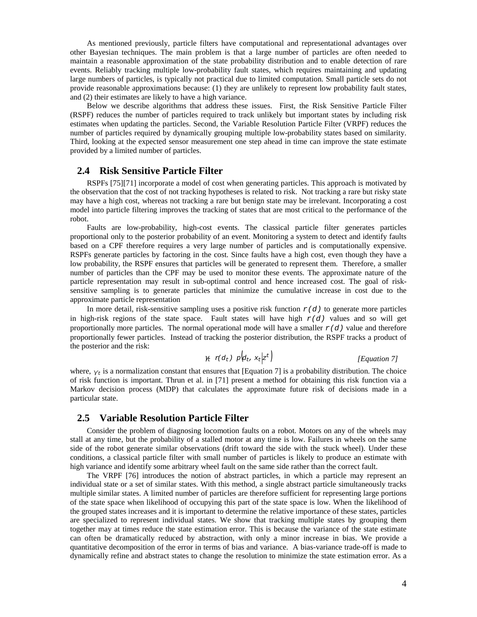As mentioned previously, particle filters have computational and representational advantages over other Bayesian techniques. The main problem is that a large number of particles are often needed to maintain a reasonable approximation of the state probability distribution and to enable detection of rare events. Reliably tracking multiple low-probability fault states, which requires maintaining and updating large numbers of particles, is typically not practical due to limited computation. Small particle sets do not provide reasonable approximations because: (1) they are unlikely to represent low probability fault states, and (2) their estimates are likely to have a high variance.

Below we describe algorithms that address these issues. First, the Risk Sensitive Particle Filter (RSPF) reduces the number of particles required to track unlikely but important states by including risk estimates when updating the particles. Second, the Variable Resolution Particle Filter (VRPF) reduces the number of particles required by dynamically grouping multiple low-probability states based on similarity. Third, looking at the expected sensor measurement one step ahead in time can improve the state estimate provided by a limited number of particles.

# **2.4 Risk Sensitive Particle Filter**

RSPFs [75][71] incorporate a model of cost when generating particles. This approach is motivated by the observation that the cost of not tracking hypotheses is related to risk. Not tracking a rare but risky state may have a high cost, whereas not tracking a rare but benign state may be irrelevant. Incorporating a cost model into particle filtering improves the tracking of states that are most critical to the performance of the robot.

Faults are low-probability, high-cost events. The classical particle filter generates particles proportional only to the posterior probability of an event. Monitoring a system to detect and identify faults based on a CPF therefore requires a very large number of particles and is computationally expensive. RSPFs generate particles by factoring in the cost. Since faults have a high cost, even though they have a low probability, the RSPF ensures that particles will be generated to represent them. Therefore, a smaller number of particles than the CPF may be used to monitor these events. The approximate nature of the particle representation may result in sub-optimal control and hence increased cost. The goal of risksensitive sampling is to generate particles that minimize the cumulative increase in cost due to the approximate particle representation

In more detail, risk-sensitive sampling uses a positive risk function  $r(d)$  to generate more particles in high-risk regions of the state space. Fault states will have high  $r(d)$  values and so will get proportionally more particles. The normal operational mode will have a smaller  $r(d)$  value and therefore proportionally fewer particles. Instead of tracking the posterior distribution, the RSPF tracks a product of the posterior and the risk:

$$
\gamma_t \quad \text{if } d_t \text{ and } \quad p(d_t, x_t | z^t) \tag{Equation 7}
$$

where,  $\gamma_t$  is a normalization constant that ensures that [Equation 7] is a probability distribution. The choice of risk function is important. Thrun et al. in [71] present a method for obtaining this risk function via a Markov decision process (MDP) that calculates the approximate future risk of decisions made in a particular state.

#### **2.5 Variable Resolution Particle Filter**

Consider the problem of diagnosing locomotion faults on a robot. Motors on any of the wheels may stall at any time, but the probability of a stalled motor at any time is low. Failures in wheels on the same side of the robot generate similar observations (drift toward the side with the stuck wheel). Under these conditions, a classical particle filter with small number of particles is likely to produce an estimate with high variance and identify some arbitrary wheel fault on the same side rather than the correct fault.

The VRPF [76] introduces the notion of abstract particles, in which a particle may represent an individual state or a set of similar states. With this method, a single abstract particle simultaneously tracks multiple similar states. A limited number of particles are therefore sufficient for representing large portions of the state space when likelihood of occupying this part of the state space is low. When the likelihood of the grouped states increases and it is important to determine the relative importance of these states, particles are specialized to represent individual states. We show that tracking multiple states by grouping them together may at times reduce the state estimation error. This is because the variance of the state estimate can often be dramatically reduced by abstraction, with only a minor increase in bias. We provide a quantitative decomposition of the error in terms of bias and variance. A bias-variance trade-off is made to dynamically refine and abstract states to change the resolution to minimize the state estimation error. As a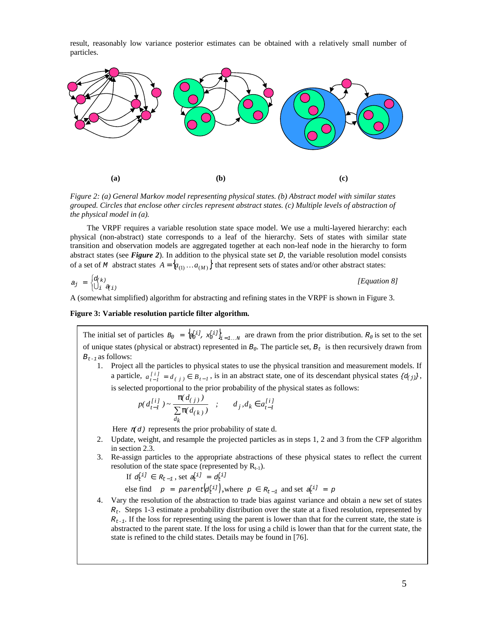result, reasonably low variance posterior estimates can be obtained with a relatively small number of particles.



*Figure 2: (a) General Markov model representing physical states. (b) Abstract model with similar states grouped. Circles that enclose other circles represent abstract states. (c) Multiple levels of abstraction of the physical model in (a).*

The VRPF requires a variable resolution state space model. We use a multi-layered hierarchy: each physical (non-abstract) state corresponds to a leaf of the hierarchy. Sets of states with similar state transition and observation models are aggregated together at each non-leaf node in the hierarchy to form abstract states (see *Figure 2*). In addition to the physical state set D, the variable resolution model consists of a set of M abstract states  $A = \{a_{(1)}, \ldots a_{(M)}\}$  that represent sets of states and/or other abstract states:

$$
a_j = \begin{cases} d_{kj} \\ U_i & q_{ij} \end{cases} \qquad [Equation 8]
$$

A (somewhat simplified) algorithm for abstracting and refining states in the VRPF is shown in Figure 3.

#### **Figure 3: Variable resolution particle filter algorithm.**

The initial set of particles  $B_0 = \left\{ \frac{1}{6} \right\}$ ,  $x_0^{i_1} \right\}$ <sub>i=1, N</sub> are drawn from the prior distribution.  $R_0$  is set to the set of unique states (physical or abstract) represented in  $B_0$ . The particle set,  $B_t$  is then recursively drawn from  $B_{t-1}$  as follows:

1. Project all the particles to physical states to use the physical transition and measurement models. If a particle,  $a_{t-1}^{i j} = d_{(j)} \in B_{t-1}$ , is in an abstract state, one of its descendant physical states  $\{d_{(j)}\},$ is selected proportional to the prior probability of the physical states as follows:

$$
p(d_{t-1}^{[i]}) \sim \frac{\pi(d_{(j)})}{\sum_{k=1}^{\infty} \pi(d_{(k)})} ; \qquad d_j, d_k \in a_{t-1}^{[i]}
$$

Here  $\pi(d)$  represents the prior probability of state d.

- 2. Update, weight, and resample the projected particles as in steps 1, 2 and 3 from the CFP algorithm in section 2.3.
- 3. Re-assign particles to the appropriate abstractions of these physical states to reflect the current resolution of the state space (represented by  $R_{t-1}$ ).

If  $d_t^{[i]} \in R_{t-1}$ , set  $a_t^{[i]} = d_t^{[i]}$ else find  $p = parent(d_t^{[i]})$ , where  $p \in R_{t-1}$  and set  $d_t^{[i]} = p$ 

4. Vary the resolution of the abstraction to trade bias against variance and obtain a new set of states  $R_t$ . Steps 1-3 estimate a probability distribution over the state at a fixed resolution, represented by  $R_{t-1}$ . If the loss for representing using the parent is lower than that for the current state, the state is abstracted to the parent state. If the loss for using a child is lower than that for the current state, the state is refined to the child states. Details may be found in [76].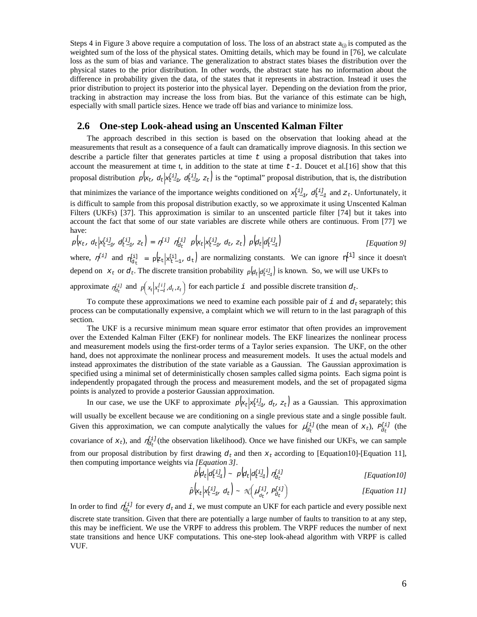Steps 4 in Figure 3 above require a computation of loss. The loss of an abstract state  $a_{(i)}$  is computed as the weighted sum of the loss of the physical states. Omitting details, which may be found in [76], we calculate loss as the sum of bias and variance. The generalization to abstract states biases the distribution over the physical states to the prior distribution. In other words, the abstract state has no information about the difference in probability given the data, of the states that it represents in abstraction. Instead it uses the prior distribution to project its posterior into the physical layer. Depending on the deviation from the prior, tracking in abstraction may increase the loss from bias. But the variance of this estimate can be high, especially with small particle sizes. Hence we trade off bias and variance to minimize loss.

### **2.6 One-step Look-ahead using an Unscented Kalman Filter**

The approach described in this section is based on the observation that looking ahead at the measurements that result as a consequence of a fault can dramatically improve diagnosis. In this section we describe a particle filter that generates particles at time  $t$  using a proposal distribution that takes into account the measurement at time t, in addition to the state at time  $t-1$ . Doucet et al. [16] show that this proposal distribution  $p[x_t, d_t | x_{t-1}^{[i]}, d_{t-1}^{[i]}, z_t]$  is the "optimal" proposal distribution, that is, the distribution

that minimizes the variance of the importance weights conditioned on  $x_{t-1}^{[i]}$ ,  $d_{t-1}^{[i]}$  and  $z_t$ . Unfortunately, it is difficult to sample from this proposal distribution exactly, so we approximate it using Unscented Kalman Filters (UKFs) [37]. This approximation is similar to an unscented particle filter [74] but it takes into account the fact that some of our state variables are discrete while others are continuous. From [77] we have:

$$
p(x_t, d_t | x_{t-1}^{[i]}, d_{t-1}^{[i]}, z_t) = \eta^{[i]} \eta_{d_t}^{[i]} p(x_t | x_{t-1}^{[i]}, d_t, z_t) p(x_t | d_{t-1}^{[i]})
$$
\n[Equation 9]

where,  $\eta^{[i]}$  and  $\eta_{d_t}^{[i]} = p(z_t|x_{t-1}^{[i]}, d_t)$  are normalizing constants. We can ignore  $\eta^{[i]}$  since it doesn't depend on  $x_t$  or  $d_t$ . The discrete transition probability  $p_{t} | d_t | d_{t-1}^{i,j}$  is known. So, we will use UKFs to approximate  $\eta_{d_t}^{(i)}$  and  $p\left(x_t | x_{t-1}^{(i)}, d_t, z_t\right)$  $\left(x_t\big| x_{t-1}^{i} , d_t, z_t\right)$  $p\left(x_t \middle| x_{t-1}^{i} \middle|, d_t, z_t\right)$  for each particle i and possible discrete transition  $d_t$ .

To compute these approximations we need to examine each possible pair of i and  $d_t$  separately; this process can be computationally expensive, a complaint which we will return to in the last paragraph of this section.

The UKF is a recursive minimum mean square error estimator that often provides an improvement over the Extended Kalman Filter (EKF) for nonlinear models. The EKF linearizes the nonlinear process and measurement models using the first-order terms of a Taylor series expansion. The UKF, on the other hand, does not approximate the nonlinear process and measurement models. It uses the actual models and instead approximates the distribution of the state variable as a Gaussian. The Gaussian approximation is specified using a minimal set of deterministically chosen samples called sigma points. Each sigma point is independently propagated through the process and measurement models, and the set of propagated sigma points is analyzed to provide a posterior Gaussian approximation.

In our case, we use the UKF to approximate  $p[x_t | x_{t-1}^{i,j}, d_t, z_t]$  as a Gaussian. This approximation will usually be excellent because we are conditioning on a single previous state and a single possible fault. Given this approximation, we can compute analytically the values for  $\mu_{d_t}^{i,j}$  (the mean of  $x_t$ ),  $P_{d_t}^{i,j}$  (the covariance of  $x_t$ ), and  $\eta_{d_t}^{(i)}$  (the observation likelihood). Once we have finished our UKFs, we can sample from our proposal distribution by first drawing  $d_t$  and then  $x_t$  according to [Equation10]-[Equation 11], then computing importance weights via *[Equation 3]*.

$$
\hat{p}\left(d_t\left|d_{t-1}^{(i)}\right| > p\left(d_t\left|d_{t-1}^{(i)}\right| \right) \eta_{d_t}^{(i)} \qquad \qquad [Equation 10]\n\n\hat{p}\left(\mathbf{x}_t\left|\mathbf{x}_{t-1}^{(i)}, d_t\right| > \mathcal{N}\left(\mu_{d_t}^{(i)}, P_{d_t}^{(i)}\right)\right] \qquad \qquad [Equation 11]\n\n(Equation 11)
$$

In order to find  $\eta_{d_t}^{(i)}$  for every  $d_t$  and i, we must compute an UKF for each particle and every possible next discrete state transition. Given that there are potentially a large number of faults to transition to at any step, this may be inefficient. We use the VRPF to address this problem. The VRPF reduces the number of next state transitions and hence UKF computations. This one-step look-ahead algorithm with VRPF is called VUF.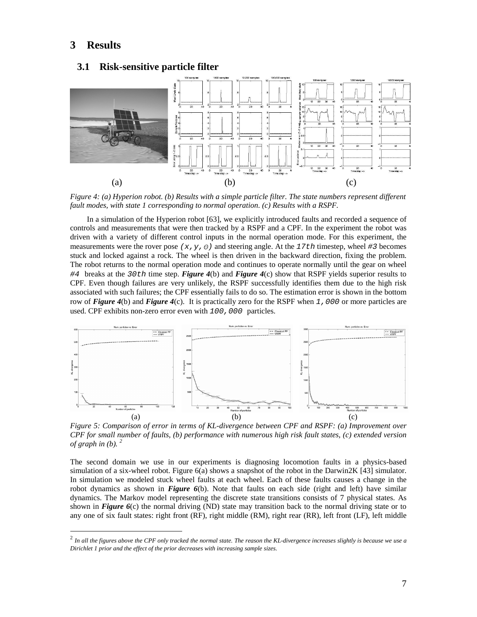### **3 Results**

# **3.1 Risk-sensitive particle filter**



Figure 4: (a) Hyperion robot. (b) Results with a simple particle filter. The state numbers represent different *fault modes, with state 1 corresponding to normal operation. (c) Results with a RSPF.*

In a simulation of the Hyperion robot [63], we explicitly introduced faults and recorded a sequence of controls and measurements that were then tracked by a RSPF and a CPF. In the experiment the robot was driven with a variety of different control inputs in the normal operation mode. For this experiment, the measurements were the rover pose  $(x,y,\theta)$  and steering angle. At the 17th timestep, wheel #3 becomes stuck and locked against a rock. The wheel is then driven in the backward direction, fixing the problem. The robot returns to the normal operation mode and continues to operate normally until the gear on wheel #4 breaks at the 30th time step. *Figure 4*(b) and *Figure 4*(c) show that RSPF yields superior results to CPF. Even though failures are very unlikely, the RSPF successfully identifies them due to the high risk associated with such failures; the CPF essentially fails to do so. The estimation error is shown in the bottom row of *Figure 4*(b) and *Figure 4*(c). It is practically zero for the RSPF when 1,000 or more particles are used. CPF exhibits non-zero error even with 100,000 particles.



*Figure 5: Comparison of error in terms of KL-divergence between CPF and RSPF: (a) Improvement over* CPF for small number of faults,  $(b)$  performance with numerous high risk fault states,  $(c)$  extended version *of graph in (b). 2*

The second domain we use in our experiments is diagnosing locomotion faults in a physics-based simulation of a six-wheel robot. Figure 6(a) shows a snapshot of the robot in the Darwin2K [43] simulator. In simulation we modeled stuck wheel faults at each wheel. Each of these faults causes a change in the robot dynamics as shown in *Figure 6*(b). Note that faults on each side (right and left) have similar dynamics. The Markov model representing the discrete state transitions consists of 7 physical states. As shown in *Figure*  $6$ (c) the normal driving (ND) state may transition back to the normal driving state or to any one of six fault states: right front (RF), right middle (RM), right rear (RR), left front (LF), left middle

 $^2$  In all the figures above the CPF only tracked the normal state. The reason the KL-divergence increases slightly is because we use a *Dirichlet 1 prior and the effect of the prior decreases with increasing sample sizes.*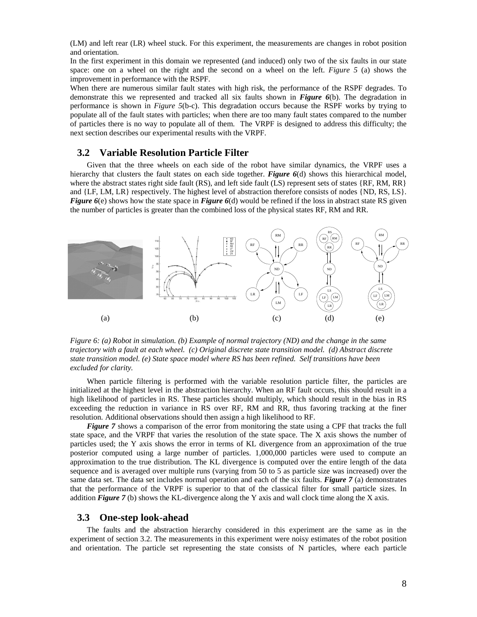(LM) and left rear (LR) wheel stuck. For this experiment, the measurements are changes in robot position and orientation.

In the first experiment in this domain we represented (and induced) only two of the six faults in our state space: one on a wheel on the right and the second on a wheel on the left. *Figure 5* (a) shows the improvement in performance with the RSPF.

When there are numerous similar fault states with high risk, the performance of the RSPF degrades. To demonstrate this we represented and tracked all six faults shown in *Figure 6*(b). The degradation in performance is shown in *Figure 5*(b-c). This degradation occurs because the RSPF works by trying to populate all of the fault states with particles; when there are too many fault states compared to the number of particles there is no way to populate all of them. The VRPF is designed to address this difficulty; the next section describes our experimental results with the VRPF.

#### **3.2 Variable Resolution Particle Filter**

Given that the three wheels on each side of the robot have similar dynamics, the VRPF uses a hierarchy that clusters the fault states on each side together. *Figure* 6(d) shows this hierarchical model, where the abstract states right side fault (RS), and left side fault (LS) represent sets of states {RF, RM, RR} and {LF, LM, LR} respectively. The highest level of abstraction therefore consists of nodes {ND, RS, LS}. *Figure*  $6(e)$  shows how the state space in *Figure*  $6(d)$  would be refined if the loss in abstract state RS given the number of particles is greater than the combined loss of the physical states RF, RM and RR.



Figure 6: (a) Robot in simulation. (b) Example of normal trajectory (ND) and the change in the same *trajectory with a fault at each wheel. (c) Original discrete state transition model. (d) Abstract discrete state transition model. (e) State space model where RS has been refined. Self transitions have been excluded for clarity.*

When particle filtering is performed with the variable resolution particle filter, the particles are initialized at the highest level in the abstraction hierarchy. When an RF fault occurs, this should result in a high likelihood of particles in RS. These particles should multiply, which should result in the bias in RS exceeding the reduction in variance in RS over RF, RM and RR, thus favoring tracking at the finer resolution. Additional observations should then assign a high likelihood to RF.

*Figure* 7 shows a comparison of the error from monitoring the state using a CPF that tracks the full state space, and the VRPF that varies the resolution of the state space. The X axis shows the number of particles used; the Y axis shows the error in terms of KL divergence from an approximation of the true posterior computed using a large number of particles. 1,000,000 particles were used to compute an approximation to the true distribution. The KL divergence is computed over the entire length of the data sequence and is averaged over multiple runs (varying from 50 to 5 as particle size was increased) over the same data set. The data set includes normal operation and each of the six faults. *Figure 7* (a) demonstrates that the performance of the VRPF is superior to that of the classical filter for small particle sizes. In addition *Figure 7* (b) shows the KL-divergence along the Y axis and wall clock time along the X axis.

#### **3.3 One-step look-ahead**

The faults and the abstraction hierarchy considered in this experiment are the same as in the experiment of section 3.2. The measurements in this experiment were noisy estimates of the robot position and orientation. The particle set representing the state consists of N particles, where each particle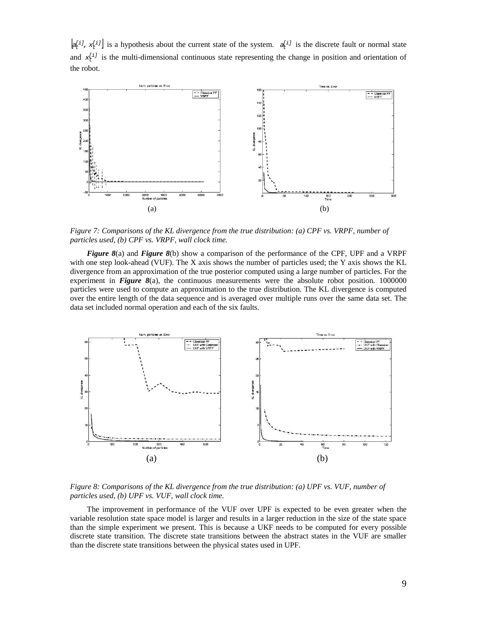$\left[\hat{a}_{t}^{[i]}, x_{t}^{[i]}\right]$  is a hypothesis about the current state of the system.  $\hat{a}_{t}^{[i]}$  is the discrete fault or normal state and  $x_t^{[i]}$  is the multi-dimensional continuous state representing the change in position and orientation of the robot.



*Figure 7: Comparisons of the KL divergence from the true distribution: (a) CPF vs. VRPF, number of particles used, (b) CPF vs. VRPF, wall clock time.*

*Figure 8*(a) and *Figure 8*(b) show a comparison of the performance of the CPF, UPF and a VRPF with one step look-ahead (VUF). The X axis shows the number of particles used; the Y axis shows the KL divergence from an approximation of the true posterior computed using a large number of particles. For the experiment in **Figure** 8(a), the continuous measurements were the absolute robot position. 1000000 particles were used to compute an approximation to the true distribution. The KL divergence is computed over the entire length of the data sequence and is averaged over multiple runs over the same data set. The data set included normal operation and each of the six faults.



*Figure 8: Comparisons of the KL divergence from the true distribution: (a) UPF vs. VUF, number of particles used, (b) UPF vs. VUF, wall clock time.*

The improvement in performance of the VUF over UPF is expected to be even greater when the variable resolution state space model is larger and results in a larger reduction in the size of the state space than the simple experiment we present. This is because a UKF needs to be computed for every possible discrete state transition. The discrete state transitions between the abstract states in the VUF are smaller than the discrete state transitions between the physical states used in UPF.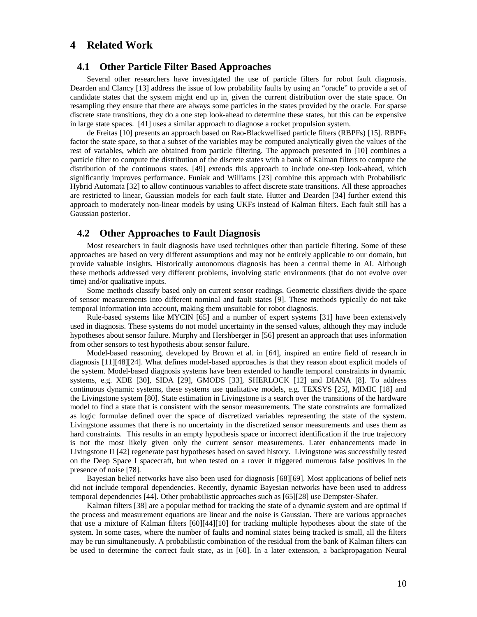# **4 Related Work**

### **4.1 Other Particle Filter Based Approaches**

Several other researchers have investigated the use of particle filters for robot fault diagnosis. Dearden and Clancy [13] address the issue of low probability faults by using an "oracle" to provide a set of candidate states that the system might end up in, given the current distribution over the state space. On resampling they ensure that there are always some particles in the states provided by the oracle. For sparse discrete state transitions, they do a one step look-ahead to determine these states, but this can be expensive in large state spaces. [41] uses a similar approach to diagnose a rocket propulsion system.

de Freitas [10] presents an approach based on Rao-Blackwellised particle filters (RBPFs) [15]. RBPFs factor the state space, so that a subset of the variables may be computed analytically given the values of the rest of variables, which are obtained from particle filtering. The approach presented in [10] combines a particle filter to compute the distribution of the discrete states with a bank of Kalman filters to compute the distribution of the continuous states. [49] extends this approach to include one-step look-ahead, which significantly improves performance. Funiak and Williams [23] combine this approach with Probabilistic Hybrid Automata [32] to allow continuous variables to affect discrete state transitions. All these approaches are restricted to linear, Gaussian models for each fault state. Hutter and Dearden [34] further extend this approach to moderately non-linear models by using UKFs instead of Kalman filters. Each fault still has a Gaussian posterior.

### **4.2 Other Approaches to Fault Diagnosis**

Most researchers in fault diagnosis have used techniques other than particle filtering. Some of these approaches are based on very different assumptions and may not be entirely applicable to our domain, but provide valuable insights. Historically autonomous diagnosis has been a central theme in AI. Although these methods addressed very different problems, involving static environments (that do not evolve over time) and/or qualitative inputs.

Some methods classify based only on current sensor readings. Geometric classifiers divide the space of sensor measurements into different nominal and fault states [9]. These methods typically do not take temporal information into account, making them unsuitable for robot diagnosis.

Rule-based systems like MYCIN [65] and a number of expert systems [31] have been extensively used in diagnosis. These systems do not model uncertainty in the sensed values, although they may include hypotheses about sensor failure. Murphy and Hershberger in [56] present an approach that uses information from other sensors to test hypothesis about sensor failure.

Model-based reasoning, developed by Brown et al. in [64], inspired an entire field of research in diagnosis [11][48][24]. What defines model-based approaches is that they reason about explicit models of the system. Model-based diagnosis systems have been extended to handle temporal constraints in dynamic systems, e.g. XDE [30], SIDA [29], GMODS [33], SHERLOCK [12] and DIANA [8]. To address continuous dynamic systems, these systems use qualitative models, e.g. TEXSYS [25], MIMIC [18] and the Livingstone system [80]. State estimation in Livingstone is a search over the transitions of the hardware model to find a state that is consistent with the sensor measurements. The state constraints are formalized as logic formulae defined over the space of discretized variables representing the state of the system. Livingstone assumes that there is no uncertainty in the discretized sensor measurements and uses them as hard constraints. This results in an empty hypothesis space or incorrect identification if the true trajectory is not the most likely given only the current sensor measurements. Later enhancements made in Livingstone II [42] regenerate past hypotheses based on saved history. Livingstone was successfully tested on the Deep Space I spacecraft, but when tested on a rover it triggered numerous false positives in the presence of noise [78].

Bayesian belief networks have also been used for diagnosis [68][69]. Most applications of belief nets did not include temporal dependencies. Recently, dynamic Bayesian networks have been used to address temporal dependencies [44]. Other probabilistic approaches such as [65][28] use Dempster-Shafer.

Kalman filters [38] are a popular method for tracking the state of a dynamic system and are optimal if the process and measurement equations are linear and the noise is Gaussian. There are various approaches that use a mixture of Kalman filters [60][44][10] for tracking multiple hypotheses about the state of the system. In some cases, where the number of faults and nominal states being tracked is small, all the filters may be run simultaneously. A probabilistic combination of the residual from the bank of Kalman filters can be used to determine the correct fault state, as in [60]. In a later extension, a backpropagation Neural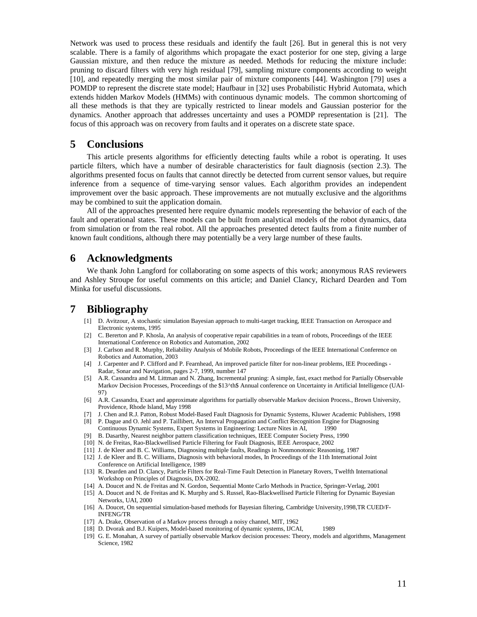Network was used to process these residuals and identify the fault [26]. But in general this is not very scalable. There is a family of algorithms which propagate the exact posterior for one step, giving a large Gaussian mixture, and then reduce the mixture as needed. Methods for reducing the mixture include: pruning to discard filters with very high residual [79], sampling mixture components according to weight [10], and repeatedly merging the most similar pair of mixture components [44]. Washington [79] uses a POMDP to represent the discrete state model; Haufbaur in [32] uses Probabilistic Hybrid Automata, which extends hidden Markov Models (HMMs) with continuous dynamic models. The common shortcoming of all these methods is that they are typically restricted to linear models and Gaussian posterior for the dynamics. Another approach that addresses uncertainty and uses a POMDP representation is [21]. The focus of this approach was on recovery from faults and it operates on a discrete state space.

### **5 Conclusions**

This article presents algorithms for efficiently detecting faults while a robot is operating. It uses particle filters, which have a number of desirable characteristics for fault diagnosis (section 2.3). The algorithms presented focus on faults that cannot directly be detected from current sensor values, but require inference from a sequence of time-varying sensor values. Each algorithm provides an independent improvement over the basic approach. These improvements are not mutually exclusive and the algorithms may be combined to suit the application domain.

All of the approaches presented here require dynamic models representing the behavior of each of the fault and operational states. These models can be built from analytical models of the robot dynamics, data from simulation or from the real robot. All the approaches presented detect faults from a finite number of known fault conditions, although there may potentially be a very large number of these faults.

# **6 Acknowledgments**

We thank John Langford for collaborating on some aspects of this work; anonymous RAS reviewers and Ashley Stroupe for useful comments on this article; and Daniel Clancy, Richard Dearden and Tom Minka for useful discussions.

# **7 Bibliography**

- [1] D. Avitzour, A stochastic simulation Bayesian approach to multi-target tracking, IEEE Transaction on Aerospace and Electronic systems, 1995
- [2] C. Bererton and P. Khosla, An analysis of cooperative repair capabilities in a team of robots, Proceedings of the IEEE International Conference on Robotics and Automation, 2002
- [3] J. Carlson and R. Murphy, Reliability Analysis of Mobile Robots, Proceedings of the IEEE International Conference on Robotics and Automation, 2003
- [4] J. Carpenter and P. Clifford and P. Fearnhead, An improved particle filter for non-linear problems, IEE Proceedings Radar, Sonar and Navigation, pages 2-7, 1999, number 147
- [5] A.R. Cassandra and M. Littman and N. Zhang, Incremental pruning: A simple, fast, exact method for Partially Observable Markov Decision Processes, Proceedings of the \$13^th\$ Annual conference on Uncertainty in Artificial Intelligence (UAI-97)
- [6] A.R. Cassandra, Exact and approximate algorithms for partially observable Markov decision Process., Brown University, Providence, Rhode Island, May 1998
- [7] J. Chen and R.J. Patton, Robust Model-Based Fault Diagnosis for Dynamic Systems, Kluwer Academic Publishers, 1998
- [8] P. Dague and O. Jehl and P. Taillibert, An Interval Propagation and Conflict Recognition Engine for Diagnosing Continuous Dynamic Systems, Expert Systems in Engineering: Lecture Nites in AI, 1990
- [9] B. Dasarthy, Nearest neighbor pattern classification techniques, IEEE Computer Society Press, 1990
- [10] N. de Freitas, Rao-Blackwellised Particle Filtering for Fault Diagnosis, IEEE Aerospace, 2002
- [11] J. de Kleer and B. C. Williams, Diagnosing multiple faults, Readings in Nonmonotonic Reasoning, 1987
- [12] J. de Kleer and B. C. Williams, Diagnosis with behavioral modes, In Proceedings of the 11th International Joint Conference on Artificial Intelligence, 1989
- [13] R. Dearden and D. Clancy, Particle Filters for Real-Time Fault Detection in Planetary Rovers, Twelfth International Workshop on Principles of Diagnosis, DX-2002.
- [14] A. Doucet and N. de Freitas and N. Gordon, Sequential Monte Carlo Methods in Practice, Springer-Verlag, 2001
- [15] A. Doucet and N. de Freitas and K. Murphy and S. Russel, Rao-Blackwellised Particle Filtering for Dynamic Bayesian Networks, UAI, 2000
- [16] A. Doucet, On sequential simulation-based methods for Bayesian filtering, Cambridge University,1998,TR CUED/F-INFENG/TR
- [17] A. Drake, Observation of a Markov process through a noisy channel, MIT, 1962
- [18] D. Dvorak and B.J. Kuipers, Model-based monitoring of dynamic systems, IJCAI, 1989
- [19] G. E. Monahan, A survey of partially observable Markov decision processes: Theory, models and algorithms, Management Science, 1982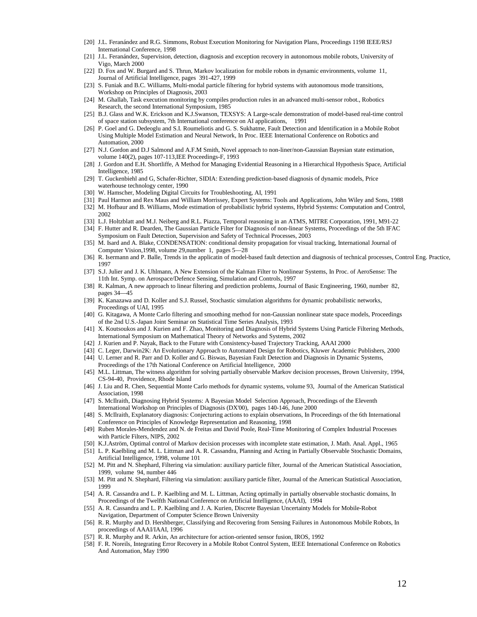- [20] J.L. Feranández and R.G. Simmons, Robust Execution Monitoring for Navigation Plans, Proceedings 1198 IEEE/RSJ International Conference, 1998
- [21] J.L. Feranández, Supervision, detection, diagnosis and exception recovery in autonomous mobile robots, University of Vigo, March 2000
- [22] D. Fox and W. Burgard and S. Thrun, Markov localization for mobile robots in dynamic environments, volume 11, Journal of Artificial Intelligence, pages 391-427, 1999
- [23] S. Funiak and B.C. Williams, Multi-modal particle filtering for hybrid systems with autonomous mode transitions, Workshop on Principles of Diagnosis, 2003
- [24] M. Ghallab, Task execution monitoring by compiles production rules in an advanced multi-sensor robot., Robotics Research, the second International Symposium, 1985
- [25] B.J. Glass and W.K. Erickson and K.J.Swanson, TEXSYS: A Large-scale demonstration of model-based real-time control of space station subsystem, 7th International conference on AI applications, 1991
- [26] P. Goel and G. Dedeoglu and S.I. Roumeliotis and G. S. Sukhatme, Fault Detection and Identification in a Mobile Robot Using Multiple Model Estimation and Neural Network, In Proc. IEEE International Conference on Robotics and Automation, 2000
- [27] N.J. Gordon and D.J Salmond and A.F.M Smith, Novel approach to non-liner/non-Gaussian Bayesian state estimation, volume 140(2), pages 107-113,IEE Proceedings-F, 1993
- [28] J. Gordon and E.H. Shortliffe, A Method for Managing Evidential Reasoning in a Hierarchical Hypothesis Space, Artificial Intelligence, 1985
- [29] T. Guckenbiehl and G, Schafer-Richter, SIDIA: Extending prediction-based diagnosis of dynamic models, Price waterhouse technology center, 1990
- [30] W. Hamscher, Modeling Digital Circuits for Troubleshooting, AI, 1991
- [31] Paul Harmon and Rex Maus and William Morrissey, Expert Systems: Tools and Applications, John Wiley and Sons, 1988
- [32] M. Hofbaur and B. Williams, Mode estimation of probabilistic hybrid systems, Hybrid Systems: Computation and Control, 2002
- [33] L.J. Holtzblatt and M.J. Neiberg and R.L. Piazza, Temporal reasoning in an ATMS, MITRE Corporation, 1991, M91-22
- [34] F. Hutter and R. Dearden, The Gaussian Particle Filter for Diagnosis of non-linear Systems, Proceedings of the 5th IFAC Symposium on Fault Detection, Supervision and Safety of Technical Processes, 2003
- [35] M. Isard and A. Blake, CONDENSATION: conditional density propagation for visual tracking, International Journal of Computer Vision,1998, volume 29,number 1, pages 5—28
- [36] R. Isermann and P. Balle, Trends in the applicatin of model-based fault detection and diagnosis of technical processes, Control Eng. Practice, 1997
- [37] S.J. Julier and J. K. Uhlmann, A New Extension of the Kalman Filter to Nonlinear Systems, In Proc. of AeroSense: The 11th Int. Symp. on Aerospace/Defence Sensing, Simulation and Controls, 1997
- [38] R. Kalman, A new approach to linear filtering and prediction problems, Journal of Basic Engineering, 1960, number 82, pages 34—45
- [39] K. Kanazawa and D. Koller and S.J. Russel, Stochastic simulation algorithms for dynamic probabilistic networks, Proceedings of UAI, 1995
- [40] G. Kitagawa, A Monte Carlo filtering and smoothing method for non-Gaussian nonlinear state space models, Proceedings of the 2nd U.S.-Japan Joint Seminar on Statistical Time Series Analysis, 1993
- [41] X. Koutsoukos and J. Kurien and F. Zhao, Monitoring and Diagnosis of Hybrid Systems Using Particle Filtering Methods, International Symposium on Mathematical Theory of Networks and Systems, 2002
- [42] J. Kurien and P. Nayak, Back to the Future with Consistency-based Trajectory Tracking, AAAI 2000
- [43] C. Leger, Darwin2K: An Evolutionary Approach to Automated Design for Robotics, Kluwer Academic Publishers, 2000
- [44] U. Lerner and R. Parr and D. Koller and G. Biswas, Bayesian Fault Detection and Diagnosis in Dynamic Systems, Proceedings of the 17th National Conference on Artificial Intelligence, 2000
- [45] M.L. Littman, The witness algorithm for solving partially observable Markov decision processes, Brown University, 1994, CS-94-40, Providence, Rhode Island
- [46] J. Liu and R. Chen, Sequential Monte Carlo methods for dynamic systems, volume 93, Journal of the American Statistical Association, 1998
- [47] S. McIlraith, Diagnosing Hybrid Systems: A Bayesian Model Selection Approach, Proceedings of the Eleventh International Workshop on Principles of Diagnosis (DX'00), pages 140-146, June 2000
- [48] S. McIlraith, Explanatory diagnosis: Conjecturing actions to explain observations, In Proceedings of the 6th International Conference on Principles of Knowledge Representation and Reasoning, 1998
- [49] Ruben Morales-Mendendez and N. de Freitas and David Poole, Real-Time Monitoring of Complex Industrial Processes with Particle Filters, NIPS, 2002
- [50] K.J.Aström, Optimal control of Markov decision processes with incomplete state estimation, J. Math. Anal. Appl., 1965
- [51] L. P. Kaelbling and M. L. Littman and A. R. Cassandra, Planning and Acting in Partially Observable Stochastic Domains, Artificial Intelligence, 1998, volume 101
- [52] M. Pitt and N. Shephard, Filtering via simulation: auxiliary particle filter, Journal of the American Statistical Association, 1999, volume 94, number 446
- [53] M. Pitt and N. Shephard, Filtering via simulation: auxiliary particle filter, Journal of the American Statistical Association, 1999
- [54] A. R. Cassandra and L. P. Kaelbling and M. L. Littman, Acting optimally in partially observable stochastic domains, In Proceedings of the Twelfth National Conference on Artificial Intelligence, (AAAI), 1994
- [55] A. R. Cassandra and L. P. Kaelbling and J. A. Kurien, Discrete Bayesian Uncertainty Models for Mobile-Robot Navigation, Department of Computer Science Brown University
- [56] R. R. Murphy and D. Hershberger, Classifying and Recovering from Sensing Failures in Autonomous Mobile Robots, In proceedings of AAAI/IAAI, 1996
- [57] R. R. Murphy and R. Arkin, An architecture for action-oriented sensor fusion, IROS, 1992
- [58] F. R. Noreils, Integrating Error Recovery in a Mobile Robot Control System, IEEE International Conference on Robotics And Automation, May 1990